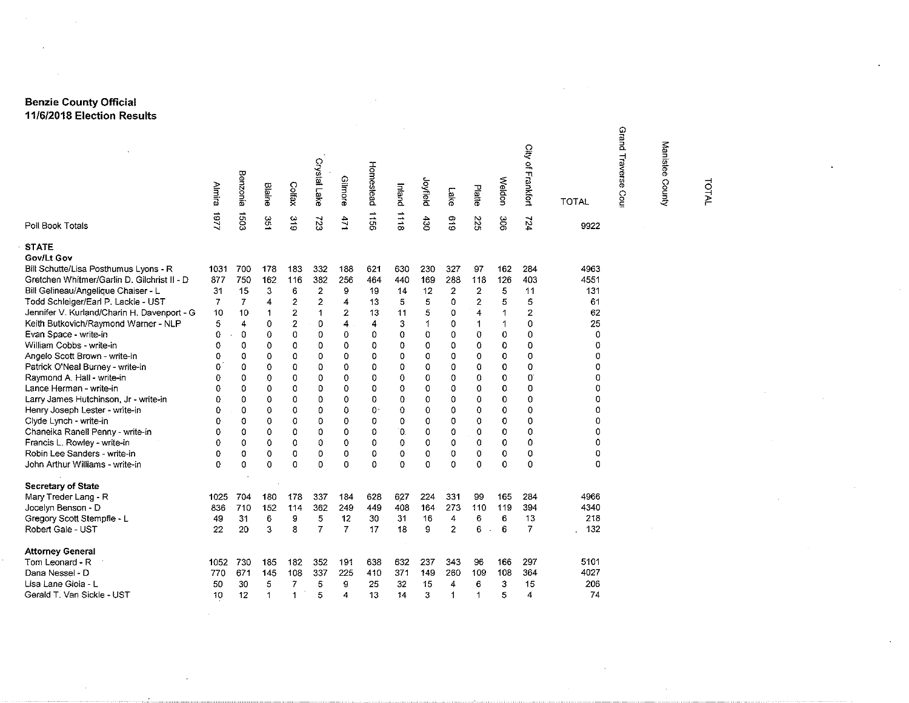## **Benzie County Official 11/6/2018 Election Results**

|                                             | Almira   | Benzonia       | <b>Blaine</b> | Colfax                  | Crystal Lake   | Gilmore        | Homestead | buejul   | Joyfield | Lake           | Platte                        | Weldon       | City of Frankfort | <b>TOTAL</b> | Grand<br>Traverse<br>Coul | Manistee County | <b>TOTAL</b> |
|---------------------------------------------|----------|----------------|---------------|-------------------------|----------------|----------------|-----------|----------|----------|----------------|-------------------------------|--------------|-------------------|--------------|---------------------------|-----------------|--------------|
| Poll Book Totals                            | 1181     | \$03           | 351           | 319                     | 723            | 471            | 991 L     | 8111     | $68 +$   | 619            | 225                           | 306          | 124               | 9922         |                           |                 |              |
| <b>STATE</b>                                |          |                |               |                         |                |                |           |          |          |                |                               |              |                   |              |                           |                 |              |
| Gov/Lt Gov                                  |          |                |               |                         |                |                |           |          |          |                |                               |              |                   |              |                           |                 |              |
| Bill Schutte/Lisa Posthumus Lyons - R       | 1031     | 700            | 173           | 133                     | 332            | 138            | 621       | 630      | 230      | 327            | 97                            | 162          | 284               | 4963         |                           |                 |              |
| Gretchen Whitmer/Garlin D. Gilchrist II - D | 877      | 750            | 162           | 116                     | 382            | 256            | 464       | 440      | 169      | 288            | 118                           | 126          | 403               | 4551         |                           |                 |              |
| Bill Gelineau/Angelique Chaiser - L         | 31       | 15             | 3             | 6                       | $\overline{2}$ | 9              | 19        | 14       | 12       | $\overline{2}$ | $\overline{2}$                | 5            | 11                | 131          |                           |                 |              |
| Todd Schleiger/Earl P. Lackie - UST         | 7        | 7              | 4             | $\overline{\mathbf{c}}$ | $\overline{2}$ | 4              | 13        | 5        | 5        | 0              | 2                             | 5            | 5                 | 61           |                           |                 |              |
| Jennifer V. Kurland/Charin H. Davenport - G | 10       | 10             | $\mathbf{1}$  | $\overline{2}$          | 1              | $\mathbf{z}$   | 13        | 11       | 5        | 0              | 4                             | $\mathbf{1}$ | 2                 | 62           |                           |                 |              |
| Keith Butkovich/Raymond Warner - NLP        | 5        | $\overline{4}$ | 0             | $\overline{2}$          | 0              | 4              | 4         | 3        | 1        | 0              | 1                             | 1            | 0                 | 25           |                           |                 |              |
| Evan Space - write-in                       | 0        | 0              | 0             | 0                       | 0              | 0              | 0         | $\Omega$ | 0        | 0              | 0                             | 0            | 0                 | 0            |                           |                 |              |
| William Cobbs - write-in                    | 0        | 0              | 0             | 0                       | 0              | $\circ$        | 0         | 0        | 0        | 0              | 0                             | 0            | 0                 | 0            |                           |                 |              |
| Angelo Scott Brown - write-in               | 0        | 0              | 0             | 0                       | 0              | 0              | 0         | 0        | 0        | 0              | 0                             | 0            | 0                 | 0            |                           |                 |              |
| Patrick O'Neal Burney - write-in            | 0        | 0              | 0             | 0                       | 0              | $\circ$        | 0         | 0        | 0        | 0              | 0                             | 0            | 0                 | 0            |                           |                 |              |
| Raymond A. Hall - write-in                  | Ω        | $\Omega$       | 0             | 0                       | 0              | $\mathbf 0$    | 0         | 0        | 0        | 0              | 0                             | 0            | 0                 | o            |                           |                 |              |
| Lance Herman - write-in                     | 0        | $\Omega$       | 0             | 0                       | 0              | o              | 0         | 0        | 0        | 0              | 0                             | 0            | 0                 | 0            |                           |                 |              |
| Larry James Hutchinson, Jr - write-in       | 0        | 0              | $\mathbf 0$   | 0                       | 0              | $\mathbf 0$    | 0         | 0        | 0        | 0              | 0                             | 0            | 0                 | 0            |                           |                 |              |
| Henry Joseph Lester - write-in              | 0        | 0              | 0             | 0                       | 0              | $\Omega$       | 0.        | 0        | 0        | 0              | 0                             | 0            | 0                 | $\Omega$     |                           |                 |              |
| Clyde Lynch - write-in                      | 0        | 0              | 0             | 0                       | 0              | 0              | 0         | 0        | O        | 0              | 0                             | 0            | 0                 | 0            |                           |                 |              |
| Chaneika Ranell Penny - write-in            | 0        | 0              | 0             | 0                       | 0              | $\circ$        | 0         | $\Omega$ | O        | 0              | 0                             | 0            | 0                 | 0            |                           |                 |              |
| Francis L. Rowley - write-in                | 0        | 0              | 0             | 0                       | 0              | 0              | 0         | 0        | 0        | 0              | 0                             | 0            | 0                 | 0            |                           |                 |              |
| Robin Lee Sanders - write-in                | Ω        | 0              | o             | 0                       | 0              | 0              | 0         | 0        | 0        | 0              | 0                             | 0            | 0                 | 0            |                           |                 |              |
| John Arthur Williams - write-in             | $\Omega$ | 0              | 0             | 0                       | 0              | $\Omega$       | 0         | O.       | 0        | $\Omega$       | 0                             | 0            | 0                 | 0            |                           |                 |              |
| <b>Secretary of State</b>                   |          |                |               |                         |                |                |           |          |          |                |                               |              |                   |              |                           |                 |              |
| Mary Treder Lang - R                        | 1025     | 704            | 180           | 178                     | 337            | 134            | 628       | 627      | 224      | 331            | 99                            | 165          | 284               | 4966         |                           |                 |              |
| Jocelyn Benson - D                          | 836      | 710            | 152           | 114                     | 362            | 249            | 449       | 408      | 164      | 273            | 110                           | 119          | 394               | 4340         |                           |                 |              |
| Gregory Scott Stempfle - L                  | 49       | 31             | 6             | 9                       | 5              | 12             | 30        | 31       | 16       | 4              | 6                             | 6            | 13                | 218          |                           |                 |              |
| Robert Gale - UST                           | 22       | 20             | 3             | 8                       | $\overline{7}$ | $\overline{7}$ | 17        | 18       | g        | $\overline{c}$ | 6<br>$\overline{\phantom{a}}$ | 6            | 7                 | 132          |                           |                 |              |
| <b>Attorney General</b>                     |          |                |               |                         |                |                |           |          |          |                |                               |              |                   |              |                           |                 |              |
| Tom Leonard - R                             | 1052     | 730            | 185           | 182                     | 352            | 191            | 638       | 632      | 237      | 343            | 96                            | 166          | 297               | 5101         |                           |                 |              |
| Dana Nessel - D                             | 770      | 671            | 145           | 108                     | 337            | 225            | 410       | 371      | 149      | 260            | 109                           | 108          | 364               | 4027         |                           |                 |              |
| Lisa Lane Gioia - L                         | 50       | 30             | 5             | 7                       | 5              | 9              | 25        | 32       | 15       | 4              | 6                             | 3            | 15                | 206          |                           |                 |              |
| Gerald T. Van Sickle - UST                  | 10       | 12             | 1             | 1                       | 5              | 4              | 13        | 14       | 3        | 1              | 1                             | 5            | 4                 | 74           |                           |                 |              |
|                                             |          |                |               |                         |                |                |           |          |          |                |                               |              |                   |              |                           |                 |              |

 $\mathcal{L}^{\mathcal{L}}$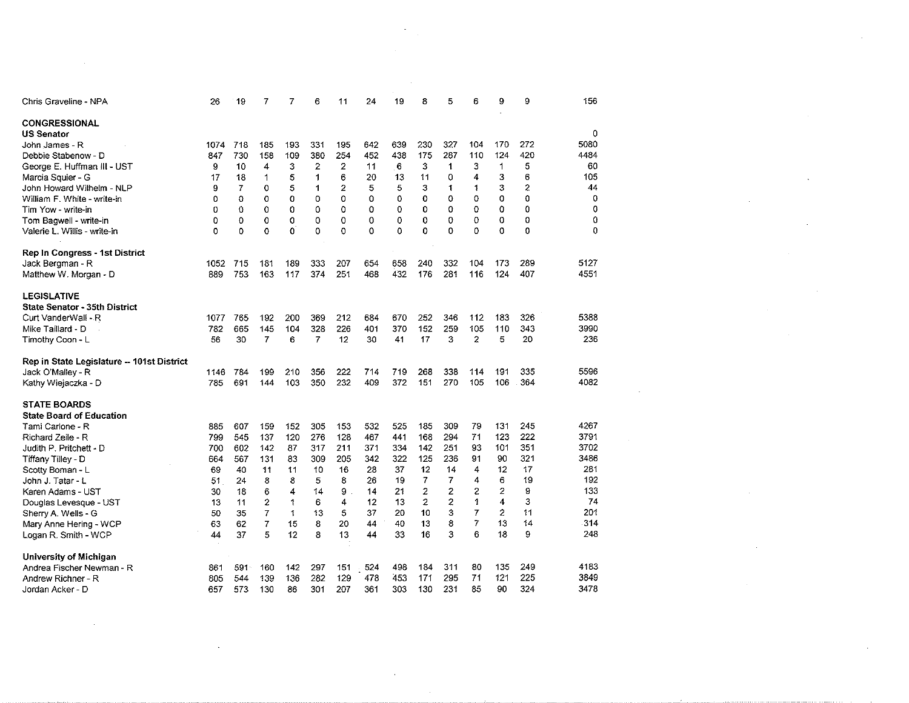| Chris Graveline - NPA                      | 26   | 19          | 7        | 7   | 6   | 11       | 24  | 19  | 8   | 5   | 6              | 9              | 9   | 156  |
|--------------------------------------------|------|-------------|----------|-----|-----|----------|-----|-----|-----|-----|----------------|----------------|-----|------|
| CONGRESSIONAL                              |      |             |          |     |     |          |     |     |     |     |                |                |     |      |
| US Senator                                 |      |             |          |     |     |          |     |     |     |     |                |                |     | 0    |
| John James - R                             | 1074 | 718         | 185      | 193 | 331 | 195      | 642 | 639 | 230 | 327 | 104            | 170            | 272 | 5080 |
| Debbie Stabenow - D                        | 847  | 730         | 158      | 109 | 380 | 254      | 452 | 438 | 175 | 287 | 110            | 124            | 420 | 4484 |
| George E. Huffman III - UST                | 9    | 10          | 4        | з   | 2   | 2        | 11  | 6   | 3   | 1   | 3              | 1              | 5   | 60   |
| Marcia Squier - G                          | 17   | 18          | 1        | 5   | 1   | 6        | 20  | 13  | 11  | 0   | 4              | 3              | 6   | 105  |
| John Howard Wilhelm - NLP                  | 9    | 7           | 0        | 5   | 1   | 2        | 5   | 5   | 3   | 1   | 1              | 3              | 2   | 44   |
| William F. White - write-in                | 0    | 0           | 0        | 0   | 0   | 0        | 0   | 0   | 0   | 0   | 0              | 0              | 0   | 0    |
| Tim Yow - write-in                         | 0    | 0           | 0        | 0   | 0   | 0        | 0   | 0   | 0   | 0   | 0              | 0              | 0   | 0    |
| Tom Bagwell - write-in                     | 0    | 0           | 0        | 0   | 0   | 0        | 0   | 0   | 0   | 0   | 0              | 0              | 0   | 0    |
| Valerie L. Willis - write-in               | 0    | $\mathbf 0$ | $\Omega$ | 0   | 0   | $\Omega$ | 0   | 0   | 0   | Ō   | 0              | 0              | 0   | 0    |
| Rep In Congress - 1st District             |      |             |          |     |     |          |     |     |     |     |                |                |     |      |
| Jack Bergman - R                           | 1052 | 715         | 181      | 189 | 333 | 207      | 654 | 658 | 240 | 332 | 104            | 173            | 289 | 5127 |
| Matthew W. Morgan - D                      | 889  | 753         | 163      | 117 | 374 | 251      | 468 | 432 | 176 | 281 | 116            | 124            | 407 | 4551 |
| <b>LEGISLATIVE</b>                         |      |             |          |     |     |          |     |     |     |     |                |                |     |      |
| <b>State Senator - 35th District</b>       |      |             |          |     |     |          |     |     |     |     |                |                |     |      |
| Curt VanderWall - R                        | 1077 | 765         | 192      | 200 | 369 | 212      | 684 | 670 | 252 | 346 | 112            | 183            | 326 | 5388 |
| Mike Taillard - D                          | 782  | 665         | 145      | 104 | 328 | 226      | 401 | 370 | 152 | 259 | 105            | 110            | 343 | 3990 |
| Timothy Coon - L                           | 56   | 30          | 7        | 6   | 7   | 12       | 30  | 41  | 17  | 3   | $\overline{c}$ | 5              | 20  | 236  |
| Rep in State Legislature -- 101st District |      |             |          |     |     |          |     |     |     |     |                |                |     |      |
| Jack O'Malley - R                          | 1146 | 784         | 199      | 210 | 356 | 222      | 714 | 719 | 263 | 338 | 114            | 191            | 335 | 5596 |
| Kathy Wiejaczka - D                        | 785  | 691         | 144      | 103 | 350 | 232      | 409 | 372 | 151 | 270 | 105            | 106            | 364 | 4082 |
| <b>STATE BOARDS</b>                        |      |             |          |     |     |          |     |     |     |     |                |                |     |      |
| <b>State Board of Education</b>            |      |             |          |     |     |          |     |     |     |     |                |                |     |      |
| Tami Carlone - R                           | 885  | 607         | 159      | 152 | 305 | 153      | 532 | 525 | 185 | 309 | 79             | 131            | 245 | 4267 |
| Richard Zeile - R                          | 799  | 545         | 137      | 120 | 276 | 128      | 467 | 441 | 168 | 294 | 71             | 123            | 222 | 3791 |
| Judith P. Pritchett - D                    | 700  | 602         | 142      | 87  | 317 | 211      | 371 | 334 | 142 | 251 | 93             | 101            | 351 | 3702 |
| Tiffany Tilley - D                         | 664  | 567         | 131      | 83  | 309 | 205      | 342 | 322 | 125 | 236 | 91             | 90             | 321 | 3486 |
| Scotty Boman - L                           | 69   | 40          | 11       | 11  | 10  | 16       | 28  | 37  | 12  | 14  | 4              | 12             | 17  | 281  |
| John J. Tatar - L                          | 51   | 24          | 8        | 8   | 5   | 8        | 26  | 19  | 7   | 7   | 4              | 6              | 19  | 192  |
| Karen Adams - UST                          | 30   | 18          | 6        | 4   | 14  | õ        | 14  | 21  | 2   | 2   | 2              | $\overline{2}$ | 9   | 133  |
| Douglas Levesque - UST                     | 13   | 11          | 2        | 1   | 6   | 4        | 12  | 13  | 2   | 2   | 1              | 4              | 3   | 74   |
| Sherry A. Wells - G                        | 50   | 35          | 7        | 1   | 13  | 5        | 37  | 20  | 10  | 3   | $\overline{7}$ | $\overline{c}$ | 11  | 201  |
| Mary Anne Hering - WCP                     | 63   | 62          | 7        | 15  | 8   | 20       | 44  | 40  | 13  | 8   | $\overline{7}$ | 13             | 14  | 314  |
| Logan R. Smith - WCP                       | 44   | 37          | 5        | 12  | 8   | 13       | 44  | 33  | 16  | 3   | 6              | 18             | 9   | 248  |
| University of Michigan                     |      |             |          |     |     |          |     |     |     |     |                |                |     |      |
| Andrea Fischer Newman - R                  | 861  | 591         | 160      | 142 | 297 | 151      | 524 | 498 | 184 | 311 | 80             | 135            | 249 | 4183 |
| Andrew Richner - R                         | 805  | 544         | 139      | 136 | 282 | 129      | 478 | 453 | 171 | 295 | 71             | 121            | 225 | 3849 |
| Jordan Acker - D                           | 657  | 573         | 130      | 86  | 301 | 207      | 361 | 303 | 130 | 231 | 85             | 90             | 324 | 3478 |

 $\mathcal{L}^{\text{max}}_{\text{max}}$ 

 $\mathcal{L}(\mathcal{L}^{\mathcal{L}})$  and  $\mathcal{L}(\mathcal{L}^{\mathcal{L}})$  and  $\mathcal{L}(\mathcal{L}^{\mathcal{L}})$ 

 $\label{eq:2.1} \frac{1}{2} \sum_{i=1}^n \frac{1}{2} \sum_{j=1}^n \frac{1}{2} \sum_{j=1}^n \frac{1}{2} \sum_{j=1}^n \frac{1}{2} \sum_{j=1}^n \frac{1}{2} \sum_{j=1}^n \frac{1}{2} \sum_{j=1}^n \frac{1}{2} \sum_{j=1}^n \frac{1}{2} \sum_{j=1}^n \frac{1}{2} \sum_{j=1}^n \frac{1}{2} \sum_{j=1}^n \frac{1}{2} \sum_{j=1}^n \frac{1}{2} \sum_{j=1}^n \frac{$ 

 $\label{eq:2.1} \frac{1}{\sqrt{2}}\int_{\mathbb{R}^3}\frac{1}{\sqrt{2}}\left(\frac{1}{\sqrt{2}}\right)^2\frac{1}{\sqrt{2}}\left(\frac{1}{\sqrt{2}}\right)^2\frac{1}{\sqrt{2}}\left(\frac{1}{\sqrt{2}}\right)^2.$ 

 $\mathcal{L}^{\text{max}}_{\text{max}}$  and  $\mathcal{L}^{\text{max}}_{\text{max}}$ 

 $\label{eq:2.1} \frac{1}{\sqrt{2}}\left(\frac{1}{\sqrt{2}}\right)^{2} \left(\frac{1}{\sqrt{2}}\right)^{2} \left(\frac{1}{\sqrt{2}}\right)^{2} \left(\frac{1}{\sqrt{2}}\right)^{2} \left(\frac{1}{\sqrt{2}}\right)^{2} \left(\frac{1}{\sqrt{2}}\right)^{2} \left(\frac{1}{\sqrt{2}}\right)^{2} \left(\frac{1}{\sqrt{2}}\right)^{2} \left(\frac{1}{\sqrt{2}}\right)^{2} \left(\frac{1}{\sqrt{2}}\right)^{2} \left(\frac{1}{\sqrt{2}}\right)^{2} \left(\$ 

 $\label{eq:2.1} \mathcal{L}(\mathcal{L}(\mathcal{L})) = \mathcal{L}(\mathcal{L}(\mathcal{L})) = \mathcal{L}(\mathcal{L}(\mathcal{L}))$ 

 $\label{eq:2.1} \frac{1}{\sqrt{2}}\int_{\mathbb{R}^3}\frac{1}{\sqrt{2}}\left(\frac{1}{\sqrt{2}}\right)^2\frac{1}{\sqrt{2}}\left(\frac{1}{\sqrt{2}}\right)^2\frac{1}{\sqrt{2}}\left(\frac{1}{\sqrt{2}}\right)^2\frac{1}{\sqrt{2}}\left(\frac{1}{\sqrt{2}}\right)^2\frac{1}{\sqrt{2}}\left(\frac{1}{\sqrt{2}}\right)^2\frac{1}{\sqrt{2}}\frac{1}{\sqrt{2}}\frac{1}{\sqrt{2}}\frac{1}{\sqrt{2}}\frac{1}{\sqrt{2}}\frac{1}{\sqrt{2}}$ 

 $\mathcal{L}(\mathcal{L}^{\mathcal{L}})$  and  $\mathcal{L}(\mathcal{L}^{\mathcal{L}})$  and  $\mathcal{L}(\mathcal{L}^{\mathcal{L}})$  and  $\mathcal{L}(\mathcal{L}^{\mathcal{L}})$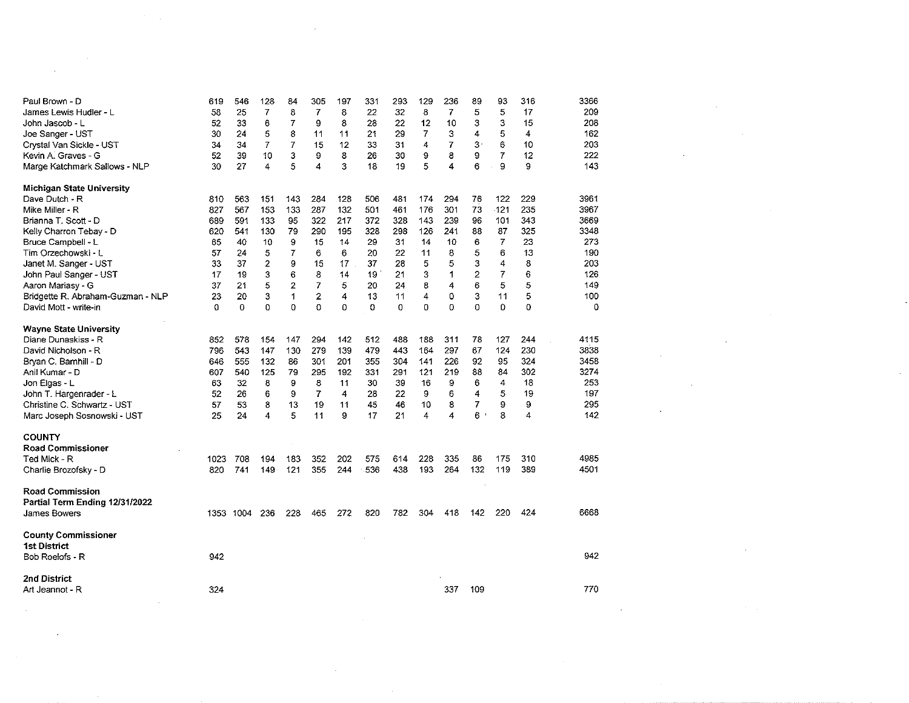| Paul Brown - D                    | 619  | 546       | 128                     | 84             | 305            | 197     | 331            | 293 | 129            | 236            | 89               | 93             | 316 | 3366 |  |  |  |
|-----------------------------------|------|-----------|-------------------------|----------------|----------------|---------|----------------|-----|----------------|----------------|------------------|----------------|-----|------|--|--|--|
| James Lewis Hudler - L            | 58   | 25        | $\overline{7}$          | 8              | $\overline{7}$ | 8       | 22             | 32  | 8              | $\overline{7}$ | 5                | 5              | 17  | 209  |  |  |  |
| John Jascob - L                   | 52   | 33        | 6                       | 7              | 9              | 8       | 28             | 22  | 12             | 10             | 3                | 3              | 15  | 208  |  |  |  |
| Joe Sanger - UST                  | 30   | 24        | 5                       | 8              | 11             | 11      | 2 <sup>1</sup> | 29  | $\overline{7}$ | 3              | 4                | 5              | 4   | 162  |  |  |  |
| Crystal Van Sickle - UST          | 34   | 34        | 7                       | 7              | 15             | 12      | 33             | 31  | 4              | 7              | 3                | 6              | 10  | 203  |  |  |  |
| Kevin A. Graves - G               | 52   | 39        | 10                      | 3              | 9              | 8       | 26             | 30  | 9              | 8              | G.               | 7              | 12  | 222  |  |  |  |
| Marge Katchmark Sallows - NLP     | 30   | 27        | 4                       | 5              | 4              | 3       | 18             | 19  | 5              | 4              | 6                | 9              | 9   | 143  |  |  |  |
| Michigan State University         |      |           |                         |                |                |         |                |     |                |                |                  |                |     |      |  |  |  |
| Dave Dutch - R                    | 810  | 563       | 151                     | 143            | 284            | 128     | 506            | 481 | 174            | 294            | 76               | 122            | 229 | 3961 |  |  |  |
| Mike Miller - R                   | 827  | 567       | 153                     | 133            | 287            | 132     | 501            | 461 | 176            | 301            | 73               | $-121$         | 235 | 3967 |  |  |  |
| Brianna T. Scott - D              | 689  | 591       | 133                     | 95             | 322            | 217     | 372            | 328 | 143            | 239            | 96               | 101            | 343 | 3669 |  |  |  |
| Kelly Charron Tebay - D           | 620  | 541       | 130                     | 79             | 290            | 195     | 328            | 298 | 126            | 241            | 88               | 87             | 325 | 3348 |  |  |  |
| Bruce Campbell - L                | 65   | 40        | 10                      | 9              | 15             | 14      | 29             | 31  | 14             | 10             | 6                | 7              | 23  | 273  |  |  |  |
| Tim Orzechowski - L               | 57   | 24        | 5                       | $\overline{7}$ | 6              | 6       | 20             | 22  | 11             | 8              | 5                | 6              | 13  | 190  |  |  |  |
| Janet M. Sanger - UST             | 33   | 37        | $\overline{\mathbf{c}}$ | 9              | 15             | 17      | 37             | 28  | 5              | 5              | 3                | 4              | 8   | 203  |  |  |  |
| John Paul Sanger - UST            | 17   | 19        | 3                       | 6              | 8              | 14      | 19             | 21  | 3              | $\overline{1}$ | $\boldsymbol{2}$ | $\overline{7}$ | 6   | 126  |  |  |  |
| Aaron Mariasy - G                 | 37   | 21        | 5                       | $\overline{2}$ | 7              | 5       | 20             | 24  | 8              | 4              | 6                | 5              | 5   | 149  |  |  |  |
| Bridgette R. Abraham-Guzman - NLP | 23   | 20        | 3                       | $\mathbf{1}$   | 2              | 4       | 13             | 11  | 4              | 0              | 3                | 11             | 5   | 100  |  |  |  |
| David Mott - write-in             | 0    | $\Omega$  | $\Omega$                | $\Omega$       | 0              | 0       | $\Omega$       | 0   | 0              | 0              | $\mathbf 0$      | $\Omega$       | 0   | 0    |  |  |  |
| Wayne State University            |      |           |                         |                |                |         |                |     |                |                |                  |                |     |      |  |  |  |
| Diane Dunaskiss - R               | 852  | 578       | 154                     | 147            | 294            | 142     | 512            | 488 | 188            | 311            | 78               | 127            | 244 | 4115 |  |  |  |
| David Nicholson - R               | 796  | 543       | 147                     | 130            | 279            | 139     | 479            | 443 | 164            | 297            | 67               | 124            | 230 | 3838 |  |  |  |
| Bryan C. Barnhill - D             | 646  | 555       | 132                     | 86             | 301            | 201     | 355            | 304 | 141            | 226            | 92               | 95             | 324 | 3458 |  |  |  |
| Anil Kumar - D                    | 607  | 540       | 125                     | 79             | 295            | 192     | 331            | 291 | 121            | 219            | 88               | 84             | 302 | 3274 |  |  |  |
| Jon Elgas - L                     | 63   | 32        | 8                       | 9              | 8              | 11      | 30             | 39  | 16             | 9              | 6                | 4              | 18  | 253  |  |  |  |
| John T. Hargenrader - L           | 52   | 26        | 6                       | 9              | $\overline{7}$ | 4       | 28             | 22  | 9              | 6              | 4                | 5              | 19  | 197  |  |  |  |
| Christine C. Schwartz - UST       | 57   | 53        | 8                       |                | 19             |         | 45             | 46  | 10             | 8              | 7                | 9              | 9   | 295  |  |  |  |
| Marc Joseph Sosnowski - UST       | 25   | 24        | $\overline{4}$          | 13<br>5        | 11             | 11<br>9 | 17             | 21  | 4              | 4              | 6                | 8              | 4   | 142  |  |  |  |
| <b>COUNTY</b>                     |      |           |                         |                |                |         |                |     |                |                |                  |                |     |      |  |  |  |
| <b>Road Commissioner</b>          |      |           |                         |                |                |         |                |     |                |                |                  |                |     |      |  |  |  |
|                                   |      |           |                         |                |                |         |                |     |                |                |                  |                |     | 4985 |  |  |  |
| Ted Mick - R                      | 1023 | 708       | 194                     | 183            | 352            | 202     | 575            | 614 | 228            | 335            | 86               | 175            | 310 |      |  |  |  |
| Charlie Brozofsky - D             | 820  | 741       | 149                     | 121            | 355            | 244     | 536            | 438 | 193            | 264            | 132              | 119            | 389 | 4501 |  |  |  |
| Road Commission                   |      |           |                         |                |                |         |                |     |                |                |                  |                |     |      |  |  |  |
| Partial Term Ending 12/31/2022    |      |           |                         |                |                |         |                |     |                |                |                  |                |     |      |  |  |  |
| James Bowers                      |      | 1353 1004 | 236                     | 228            | 465            | 272     | 820            | 782 | 304            | 418            | 142              | 220            | 424 | 6668 |  |  |  |
| <b>County Commissioner</b>        |      |           |                         |                |                |         |                |     |                |                |                  |                |     |      |  |  |  |
| <b>1st District</b>               |      |           |                         |                |                |         |                |     |                |                |                  |                |     |      |  |  |  |
| Bob Roelofs - R                   | 942  |           |                         |                |                |         |                |     |                |                |                  |                |     | 942  |  |  |  |
| 2nd District                      |      |           |                         |                |                |         |                |     |                |                |                  |                |     |      |  |  |  |
| Art Jeannot - R                   | 324  |           |                         |                |                |         |                |     |                | 337            | 109              |                |     | 770  |  |  |  |
|                                   |      |           |                         |                |                |         |                |     |                |                |                  |                |     |      |  |  |  |
|                                   |      |           |                         |                |                |         |                |     |                |                |                  |                |     |      |  |  |  |

 $\mathcal{L}(\mathcal{L}(\mathcal{L}))$  and  $\mathcal{L}(\mathcal{L}(\mathcal{L}))$  . The contribution of  $\mathcal{L}(\mathcal{L})$ 

 $\mathcal{L}^{\text{max}}_{\text{max}}$  and  $\mathcal{L}^{\text{max}}_{\text{max}}$ 

 $\label{eq:2.1} \frac{1}{2} \sum_{i=1}^n \frac{1}{2} \sum_{j=1}^n \frac{1}{2} \sum_{j=1}^n \frac{1}{2} \sum_{j=1}^n \frac{1}{2} \sum_{j=1}^n \frac{1}{2} \sum_{j=1}^n \frac{1}{2} \sum_{j=1}^n \frac{1}{2} \sum_{j=1}^n \frac{1}{2} \sum_{j=1}^n \frac{1}{2} \sum_{j=1}^n \frac{1}{2} \sum_{j=1}^n \frac{1}{2} \sum_{j=1}^n \frac{1}{2} \sum_{j=1}^n \frac{$ 

 $\label{eq:2.1} \mathcal{L}(\mathcal{L}^{\text{max}}_{\mathcal{L}}(\mathcal{L}^{\text{max}}_{\mathcal{L}}))\leq \mathcal{L}(\mathcal{L}^{\text{max}}_{\mathcal{L}}(\mathcal{L}^{\text{max}}_{\mathcal{L}}))$ 

 $\mathcal{L}(\mathcal{L}(\mathcal{L}))$  and  $\mathcal{L}(\mathcal{L}(\mathcal{L}))$  . The contribution of the contribution of  $\mathcal{L}(\mathcal{L})$ 

 $\mathcal{L}(\mathcal{L}(\mathcal{L}))$  and  $\mathcal{L}(\mathcal{L}(\mathcal{L}))$  . The contribution of the contribution of  $\mathcal{L}(\mathcal{L})$ 

 $\mathcal{L}(\mathcal{L}(\mathcal{L}^{\mathcal{L}}))$  and  $\mathcal{L}(\mathcal{L}^{\mathcal{L}})$  . Then

 $\mathcal{L}_{\text{max}}$  and  $\mathcal{L}_{\text{max}}$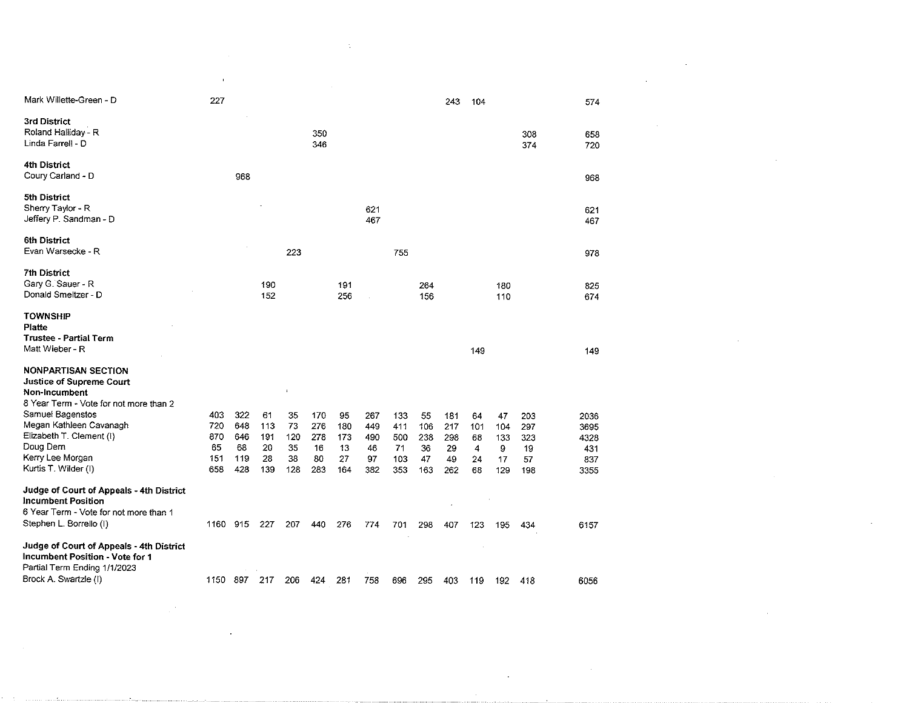|                                          | $\overline{\phantom{a}}$ |     |     |     |     |     |     |     |     |     |     |     |     |      |
|------------------------------------------|--------------------------|-----|-----|-----|-----|-----|-----|-----|-----|-----|-----|-----|-----|------|
| Mark Willette-Green - D                  | 227                      |     |     |     |     |     |     |     |     |     |     |     |     |      |
|                                          |                          |     |     |     |     |     |     |     |     | 243 | 104 |     |     | 574  |
| 3rd District                             |                          |     |     |     |     |     |     |     |     |     |     |     |     |      |
| Roland Halliday - R                      |                          |     |     |     | 350 |     |     |     |     |     |     |     | 308 | 658  |
| Linda Farrell - D                        |                          |     |     |     | 346 |     |     |     |     |     |     |     | 374 | 720  |
|                                          |                          |     |     |     |     |     |     |     |     |     |     |     |     |      |
| 4th District                             |                          |     |     |     |     |     |     |     |     |     |     |     |     |      |
| Coury Carland - D                        |                          | 968 |     |     |     |     |     |     |     |     |     |     |     | 968  |
|                                          |                          |     |     |     |     |     |     |     |     |     |     |     |     |      |
| 5th District                             |                          |     |     |     |     |     |     |     |     |     |     |     |     |      |
| Sherry Taylor - R                        |                          |     |     |     |     |     | 621 |     |     |     |     |     |     | 621  |
| Jeffery P. Sandman - D                   |                          |     |     |     |     |     | 467 |     |     |     |     |     |     | 467  |
|                                          |                          |     |     |     |     |     |     |     |     |     |     |     |     |      |
| 6th District                             |                          |     |     |     |     |     |     |     |     |     |     |     |     |      |
| Evan Warsecke - R                        |                          |     |     | 223 |     |     |     | 755 |     |     |     |     |     | 978  |
|                                          |                          |     |     |     |     |     |     |     |     |     |     |     |     |      |
| <b>7th District</b>                      |                          |     |     |     |     |     |     |     |     |     |     |     |     |      |
| Gary G. Sauer - R                        |                          |     | 190 |     |     | 191 |     |     | 264 |     |     | 180 |     | 825  |
| Donald Smeltzer - D                      |                          |     | 152 |     |     | 256 |     |     | 156 |     |     | 110 |     | 674  |
|                                          |                          |     |     |     |     |     |     |     |     |     |     |     |     |      |
| <b>TOWNSHIP</b>                          |                          |     |     |     |     |     |     |     |     |     |     |     |     |      |
| Platte                                   |                          |     |     |     |     |     |     |     |     |     |     |     |     |      |
| <b>Trustee - Partial Term</b>            |                          |     |     |     |     |     |     |     |     |     |     |     |     |      |
| Matt Wieber - R                          |                          |     |     |     |     |     |     |     |     |     | 149 |     |     | 149  |
|                                          |                          |     |     |     |     |     |     |     |     |     |     |     |     |      |
| <b>NONPARTISAN SECTION</b>               |                          |     |     |     |     |     |     |     |     |     |     |     |     |      |
| <b>Justice of Supreme Court</b>          |                          |     |     |     |     |     |     |     |     |     |     |     |     |      |
| Non-Incumbent                            |                          |     |     |     |     |     |     |     |     |     |     |     |     |      |
| 8 Year Term - Vote for not more than 2   |                          |     |     |     |     |     |     |     |     |     |     |     |     |      |
| Samuel Bagenstos                         | 403                      | 322 | 61  | 35  | 170 | 95  | 267 | 133 | 55  | 181 | 64  | 47  | 203 | 2036 |
| Megan Kathleen Cavanagh                  | 720                      | 648 | 113 | 73  | 276 | 180 | 449 | 411 | 106 | 217 | 101 | 104 | 297 | 3695 |
| Elizabeth T. Clement (I)                 | 870                      | 646 | 191 | 120 | 278 | 173 | 490 | 500 | 238 | 298 | 68  | 133 | 323 | 4328 |
| Doug Dern                                | 65                       | 68  | 20  | 35  | 16  | 13  | 46  | 71  | 36  | 29  | 4   | 9   | 19  | 431  |
| Kerry Lee Morgan                         | 151                      | 119 | 28  | 38  | 80  | 27  | 97  | 103 | 47  | 49  | 24  | 17  | 57  | 837  |
| Kurtis T. Wilder (I)                     | 658                      | 428 | 139 | 128 | 283 | 164 | 382 | 353 | 163 | 262 | 68  | 129 | 198 | 3355 |
| Judge of Court of Appeals - 4th District |                          |     |     |     |     |     |     |     |     |     |     |     |     |      |
| <b>Incumbent Position</b>                |                          |     |     |     |     |     |     |     |     |     |     |     |     |      |
| 6 Year Term - Vote for not more than 1   |                          |     |     |     |     |     |     |     |     |     |     |     |     |      |
|                                          |                          |     |     |     |     |     |     |     |     |     |     |     |     |      |
| Stephen L. Borrello (I)                  | 1160 915                 |     | 227 | 207 | 440 | 276 | 774 | 701 | 298 | 407 | 123 | 195 | 434 | 6157 |
| Judge of Court of Appeals - 4th District |                          |     |     |     |     |     |     |     |     |     |     |     |     |      |
| Incumbent Position - Vote for 1          |                          |     |     |     |     |     |     |     |     |     |     |     |     |      |
| Partial Term Ending 1/1/2023             |                          |     |     |     |     |     |     |     |     |     |     |     |     |      |
| Brock A. Swartzle (I)                    |                          |     |     |     |     |     |     |     |     |     |     |     |     |      |
|                                          | 1150                     | 897 | 217 | 206 | 424 | 281 | 758 | 696 | 295 | 403 | 119 | 192 | 418 | 6056 |

 $\mathcal{L}(\mathcal{L}^{\mathcal{L}})$  and  $\mathcal{L}^{\mathcal{L}}$  and  $\mathcal{L}^{\mathcal{L}}$  and  $\mathcal{L}^{\mathcal{L}}$  and  $\mathcal{L}^{\mathcal{L}}$ 

 $\sim 40\,$  km  $^{-1}$ 

 $\label{eq:2.1} \frac{1}{\sqrt{2}}\int_{\mathbb{R}^3}\frac{1}{\sqrt{2}}\left(\frac{1}{\sqrt{2}}\right)^2\left(\frac{1}{\sqrt{2}}\right)^2\left(\frac{1}{\sqrt{2}}\right)^2\left(\frac{1}{\sqrt{2}}\right)^2\left(\frac{1}{\sqrt{2}}\right)^2\left(\frac{1}{\sqrt{2}}\right)^2.$ 

 $\mathcal{L}(\mathcal{L}(\mathcal{L}(\mathcal{L}(\mathcal{L}(\mathcal{L}(\mathcal{L}(\mathcal{L}(\mathcal{L}(\mathcal{L}(\mathcal{L}(\mathcal{L}(\mathcal{L}(\mathcal{L}(\mathcal{L}(\mathcal{L}(\mathcal{L}(\mathcal{L}(\mathcal{L}(\mathcal{L}(\mathcal{L}(\mathcal{L}(\mathcal{L}(\mathcal{L}(\mathcal{L}(\mathcal{L}(\mathcal{L}(\mathcal{L}(\mathcal{L}(\mathcal{L}(\mathcal{L}(\mathcal{L}(\mathcal{L}(\mathcal{L}(\mathcal{L}(\mathcal{L}(\mathcal{$ 

 $\mathcal{L}^{\text{max}}$  ,  $\mathcal{L}^{\text{max}}$ 

 $\mathcal{L}^{\text{max}}_{\text{max}}$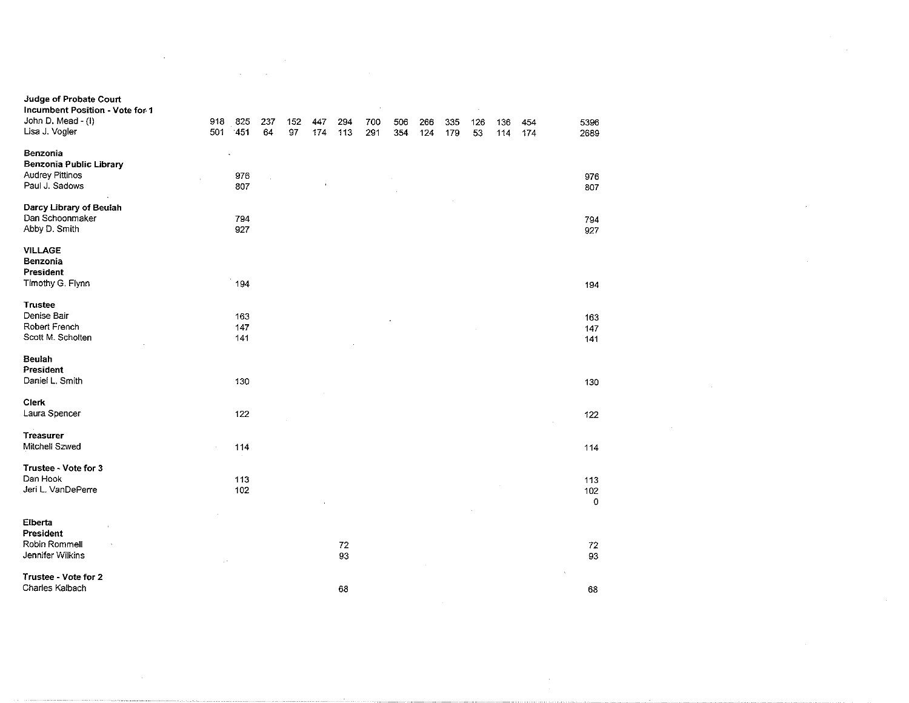| Judge of Probate Court<br>Incumbent Position - Vote for 1 |     |        |     |     |     |          |     |     |     |     |     |     |     |                |
|-----------------------------------------------------------|-----|--------|-----|-----|-----|----------|-----|-----|-----|-----|-----|-----|-----|----------------|
| John D. Mead - (I)                                        | 918 | 825    | 237 | 152 | 447 | 294      | 700 | 506 | 266 | 335 | 126 | 136 | 454 | 5396           |
| Lisa J. Vogler                                            | 501 | $-451$ | 64  | 97  | 174 | 113      | 291 | 354 | 124 | 179 | 53  | 114 | 174 | 2689           |
| Benzonia                                                  |     |        |     |     |     |          |     |     |     |     |     |     |     |                |
| <b>Benzonia Public Library</b>                            |     |        |     |     |     |          |     |     |     |     |     |     |     |                |
| <b>Audrey Pittinos</b>                                    |     | 976    |     |     |     |          |     |     |     |     |     |     |     | 976            |
| Paul J. Sadows                                            |     | 807    |     |     |     |          |     |     |     |     |     |     |     | 807            |
| Darcy Library of Beulah                                   |     |        |     |     |     |          |     |     |     |     |     |     |     |                |
| Dan Schoonmaker                                           |     | 794    |     |     |     |          |     |     |     |     |     |     |     | 794            |
| Abby D. Smith                                             |     | 927    |     |     |     |          |     |     |     |     |     |     |     | 927            |
| <b>VILLAGE</b>                                            |     |        |     |     |     |          |     |     |     |     |     |     |     |                |
| Benzonia                                                  |     |        |     |     |     |          |     |     |     |     |     |     |     |                |
| President                                                 |     |        |     |     |     |          |     |     |     |     |     |     |     |                |
| Timothy G. Flynn                                          |     | 194    |     |     |     |          |     |     |     |     |     |     |     | 194            |
| <b>Trustee</b>                                            |     |        |     |     |     |          |     |     |     |     |     |     |     |                |
| Denise Bair                                               |     | 163    |     |     |     |          |     |     |     |     |     |     |     | 163            |
| Robert French                                             |     | 147    |     |     |     |          |     |     |     |     |     |     |     | 147            |
| Scott M. Scholten                                         |     | 141    |     |     |     |          |     |     |     |     |     |     |     | 141            |
| Beulah                                                    |     |        |     |     |     |          |     |     |     |     |     |     |     |                |
| President                                                 |     |        |     |     |     |          |     |     |     |     |     |     |     |                |
| Daniel L. Smith                                           |     | 130    |     |     |     |          |     |     |     |     |     |     |     | 130            |
| Clerk                                                     |     |        |     |     |     |          |     |     |     |     |     |     |     |                |
| Laura Spencer                                             |     | 122    |     |     |     |          |     |     |     |     |     |     |     | 122            |
| <b>Treasurer</b>                                          |     |        |     |     |     |          |     |     |     |     |     |     |     |                |
| Mitchell Szwed                                            |     | 114    |     |     |     |          |     |     |     |     |     |     |     | 114            |
| Trustee - Vote for 3                                      |     |        |     |     |     |          |     |     |     |     |     |     |     |                |
| Dan Hook                                                  |     | 113    |     |     |     |          |     |     |     |     |     |     |     | 113            |
| Jeri L. VanDePerre                                        |     | 102    |     |     |     |          |     |     |     |     |     |     |     | 102<br>$\circ$ |
|                                                           |     |        |     |     |     |          |     |     |     |     |     |     |     |                |
| Elberta<br>President                                      |     |        |     |     |     |          |     |     |     |     |     |     |     |                |
| Robin Rommell                                             |     |        |     |     |     | $\bf 72$ |     |     |     |     |     |     |     | 72             |
| Jennifer Wilkins                                          |     |        |     |     |     | 93       |     |     |     |     |     |     |     | 93             |
| Trustee - Vote for 2                                      |     |        |     |     |     |          |     |     |     |     |     |     |     |                |
| Charles Kalbach                                           |     |        |     |     |     | 68       |     |     |     |     |     |     |     | 68             |
|                                                           |     |        |     |     |     |          |     |     |     |     |     |     |     |                |

 $\frac{1}{2} \sum_{i=1}^n \frac{1}{2} \sum_{j=1}^n \frac{1}{2} \sum_{j=1}^n \frac{1}{2} \sum_{j=1}^n \frac{1}{2} \sum_{j=1}^n \frac{1}{2} \sum_{j=1}^n \frac{1}{2} \sum_{j=1}^n \frac{1}{2} \sum_{j=1}^n \frac{1}{2} \sum_{j=1}^n \frac{1}{2} \sum_{j=1}^n \frac{1}{2} \sum_{j=1}^n \frac{1}{2} \sum_{j=1}^n \frac{1}{2} \sum_{j=1}^n \frac{1}{2} \sum_{j=$ 

 $\label{eq:2.1} \mathcal{L}(\mathcal{L}^{\text{max}}_{\mathcal{L}}(\mathcal{L}^{\text{max}}_{\mathcal{L}})) \leq \mathcal{L}(\mathcal{L}^{\text{max}}_{\mathcal{L}}(\mathcal{L}^{\text{max}}_{\mathcal{L}}))$ 

 $\mathcal{L}^{\text{max}}_{\text{max}}$  and  $\mathcal{L}^{\text{max}}_{\text{max}}$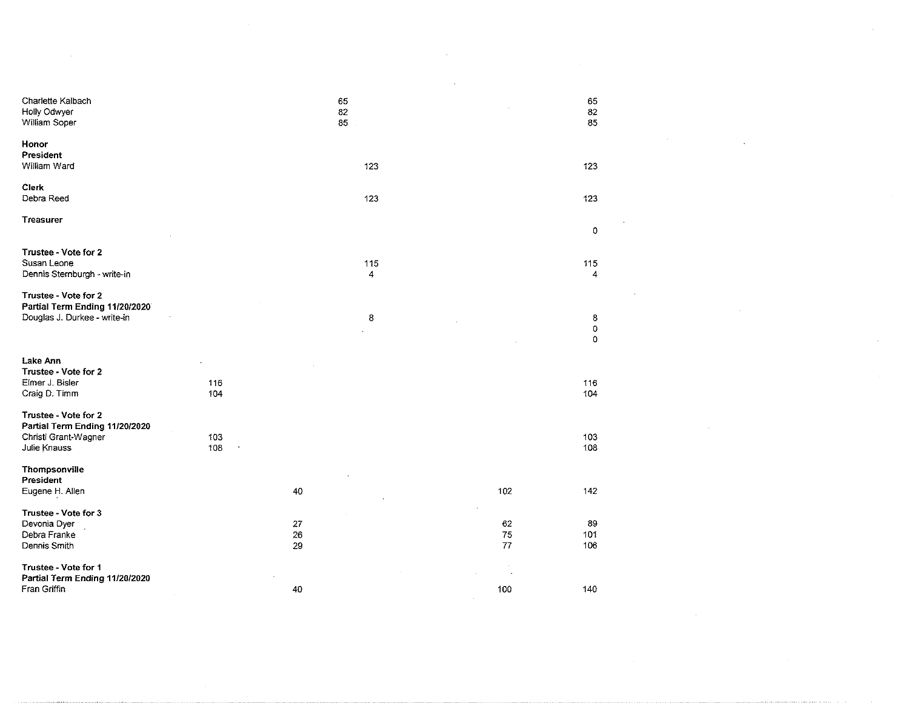| Charlette Kalbach<br>Holly Odwyer<br>William Soper                                             |            |                    | 65<br>82<br>85 |                      | 65<br>$82\,$<br>85    |  |
|------------------------------------------------------------------------------------------------|------------|--------------------|----------------|----------------------|-----------------------|--|
| Honor<br>President<br>William Ward                                                             |            |                    | 123            |                      | 123                   |  |
| Clerk<br>Debra Reed                                                                            |            |                    | 123            |                      | 123                   |  |
| <b>Treasurer</b>                                                                               |            |                    |                |                      | 0                     |  |
| Trustee - Vote for 2<br>Susan Leone<br>Dennis Sternburgh - write-in                            |            |                    | 115<br>4       |                      | 115<br>4              |  |
| Trustee - Vote for 2<br>Partial Term Ending 11/20/2020<br>Douglas J. Durkee - write-in         |            |                    | 8              |                      | 8<br>0<br>$\mathbf 0$ |  |
| Lake Ann<br>Trustee - Vote for 2<br>Elmer J. Bisler                                            | 116        |                    |                |                      | 116                   |  |
| Craig D. Timm                                                                                  | 104        |                    |                |                      | 104                   |  |
| Trustee - Vote for 2<br>Partial Term Ending 11/20/2020<br>Christi Grant-Wagner<br>Julie Knauss | 103<br>108 |                    |                |                      | 103<br>108            |  |
| Thompsonville<br>President                                                                     |            |                    |                |                      |                       |  |
| Eugene H. Allen                                                                                |            | $40\,$             |                | 102                  | 142                   |  |
| Trustee - Vote for 3<br>Devonia Dyer<br>Debra Franke<br>Dennis Smith                           |            | 27<br>$26\,$<br>29 |                | 62<br>$\bf 75$<br>77 | 89<br>101<br>106      |  |
| Trustee - Vote for 1<br>Partial Term Ending 11/20/2020                                         |            |                    |                |                      | $\sim$                |  |
| Fran Griffin                                                                                   |            | $40\,$             |                | 100                  | 140                   |  |

 $\mathcal{L}(\mathcal{L}^{\mathcal{L}}(\mathcal{L}^{\mathcal{L}}(\mathcal{L}^{\mathcal{L}}(\mathcal{L}^{\mathcal{L}}(\mathcal{L}^{\mathcal{L}}(\mathcal{L}^{\mathcal{L}}(\mathcal{L}^{\mathcal{L}}(\mathcal{L}^{\mathcal{L}}(\mathcal{L}^{\mathcal{L}}(\mathcal{L}^{\mathcal{L}}(\mathcal{L}^{\mathcal{L}}(\mathcal{L}^{\mathcal{L}}(\mathcal{L}^{\mathcal{L}}(\mathcal{L}^{\mathcal{L}}(\mathcal{L}^{\mathcal{L}}(\mathcal{L}^{\mathcal{L}}(\mathcal{L}$ 

 $\label{eq:2.1} \frac{1}{\sqrt{2}}\sum_{i=1}^n\frac{1}{\sqrt{2}}\sum_{i=1}^n\frac{1}{\sqrt{2}}\sum_{i=1}^n\frac{1}{\sqrt{2}}\sum_{i=1}^n\frac{1}{\sqrt{2}}\sum_{i=1}^n\frac{1}{\sqrt{2}}\sum_{i=1}^n\frac{1}{\sqrt{2}}\sum_{i=1}^n\frac{1}{\sqrt{2}}\sum_{i=1}^n\frac{1}{\sqrt{2}}\sum_{i=1}^n\frac{1}{\sqrt{2}}\sum_{i=1}^n\frac{1}{\sqrt{2}}\sum_{i=1}^n\frac$ 

 $\label{eq:2.1} \frac{1}{\sqrt{2}}\left(\frac{1}{\sqrt{2}}\right)^{2} \left(\frac{1}{\sqrt{2}}\right)^{2} \left(\frac{1}{\sqrt{2}}\right)^{2} \left(\frac{1}{\sqrt{2}}\right)^{2} \left(\frac{1}{\sqrt{2}}\right)^{2} \left(\frac{1}{\sqrt{2}}\right)^{2} \left(\frac{1}{\sqrt{2}}\right)^{2} \left(\frac{1}{\sqrt{2}}\right)^{2} \left(\frac{1}{\sqrt{2}}\right)^{2} \left(\frac{1}{\sqrt{2}}\right)^{2} \left(\frac{1}{\sqrt{2}}\right)^{2} \left(\$ 

 $\label{eq:2.1} \frac{1}{\sqrt{2}}\left(\frac{1}{\sqrt{2}}\right)^{2} \left(\frac{1}{\sqrt{2}}\right)^{2} \left(\frac{1}{\sqrt{2}}\right)^{2} \left(\frac{1}{\sqrt{2}}\right)^{2} \left(\frac{1}{\sqrt{2}}\right)^{2} \left(\frac{1}{\sqrt{2}}\right)^{2} \left(\frac{1}{\sqrt{2}}\right)^{2} \left(\frac{1}{\sqrt{2}}\right)^{2} \left(\frac{1}{\sqrt{2}}\right)^{2} \left(\frac{1}{\sqrt{2}}\right)^{2} \left(\frac{1}{\sqrt{2}}\right)^{2} \left(\$ 

 $\mathcal{L}(\mathcal{L}(\mathcal{L}))$  and  $\mathcal{L}(\mathcal{L}(\mathcal{L}))$  . The contribution of the  $\mathcal{L}(\mathcal{L})$ 

 $\label{eq:2.1} \frac{1}{\sqrt{2}}\int_{\mathbb{R}^3}\frac{1}{\sqrt{2}}\left(\frac{1}{\sqrt{2}}\right)^2\frac{1}{\sqrt{2}}\left(\frac{1}{\sqrt{2}}\right)^2\frac{1}{\sqrt{2}}\left(\frac{1}{\sqrt{2}}\right)^2\frac{1}{\sqrt{2}}\left(\frac{1}{\sqrt{2}}\right)^2.$ 

 $\alpha_{\rm{max}}$ 

 $\mathcal{L}^{\mathcal{L}}(x)$  and  $\mathcal{L}^{\mathcal{L}}(x)$  are the set of the set of the set of the set of the set of  $\mathcal{L}^{\mathcal{L}}(x)$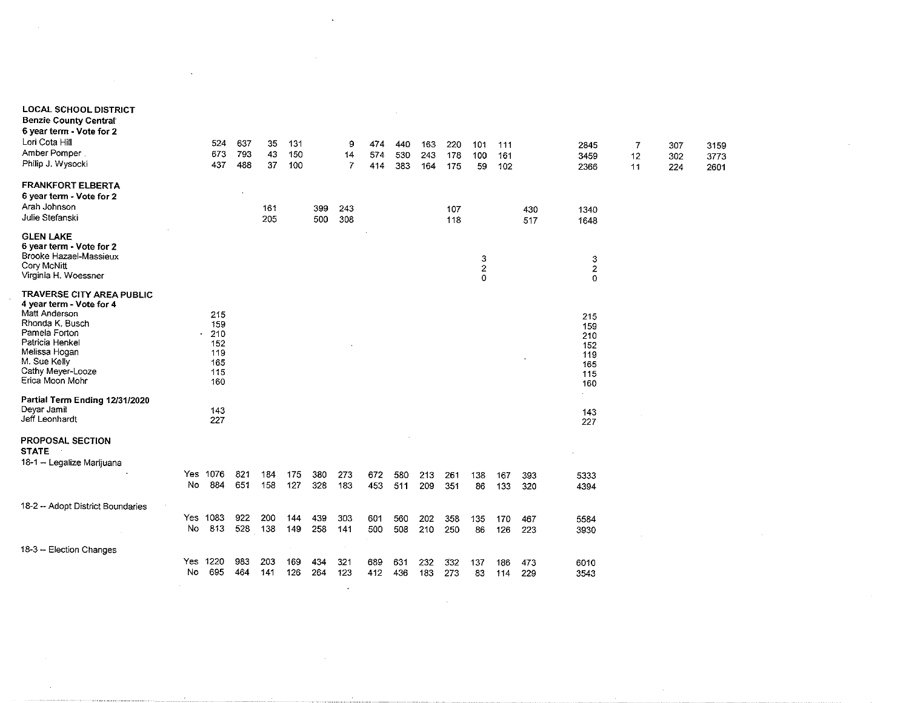|                                                                                                                                                                                                        |          |                | 673<br>437                                           | 637<br>793<br>488 | 35<br>43<br>37 | 131<br>150<br>100 |            | 9<br>14<br>7            | 474<br>574<br>414 | 440<br>530<br>383 | 163<br>243<br>164 | 220<br>178<br>175 | 101<br>100<br>59 | 111<br>161<br>102 |            | 2845<br>3459<br>2366                                 | 7<br>12<br>11 | 307<br>302<br>224 | 3159<br>3773<br>2601 |  |  |
|--------------------------------------------------------------------------------------------------------------------------------------------------------------------------------------------------------|----------|----------------|------------------------------------------------------|-------------------|----------------|-------------------|------------|-------------------------|-------------------|-------------------|-------------------|-------------------|------------------|-------------------|------------|------------------------------------------------------|---------------|-------------------|----------------------|--|--|
| <b>FRANKFORT ELBERTA</b><br>6 year term - Vote for 2<br>Arah Johnson<br>Julie Stefanski                                                                                                                |          |                |                                                      |                   | 161<br>205     |                   | 399<br>500 | 243<br>308              |                   |                   |                   | 107<br>118        |                  |                   | 430<br>517 | 1340<br>1648                                         |               |                   |                      |  |  |
| <b>GLEN LAKE</b><br>6 year term - Vote for 2<br>Brooke Hazael-Massieux<br>Cory McNitt<br>Virginia H. Woessner                                                                                          |          |                |                                                      |                   |                |                   |            |                         |                   |                   |                   |                   | 3<br>2<br>0      |                   |            | 3<br>$\overline{2}$<br>$\mathbf 0$                   |               |                   |                      |  |  |
| TRAVERSE CITY AREA PUBLIC<br>4 year term - Vote for 4<br>Matt Anderson<br>Rhonda K. Busch<br>Pamela Forton<br>Patricia Henkel<br>Melissa Hogan<br>M. Sue Kelly<br>Cathy Meyer-Looze<br>Erica Moon Mohr |          |                | 215<br>159<br>210<br>152<br>119<br>165<br>115<br>160 |                   |                |                   |            |                         |                   |                   |                   |                   |                  |                   | $\lambda$  | 215<br>159<br>210<br>152<br>119<br>165<br>115<br>160 |               |                   |                      |  |  |
| Partial Term Ending 12/31/2020<br>Deyar Jamil<br>Jeff Leonhardt                                                                                                                                        |          |                | 143<br>227                                           |                   |                |                   |            |                         |                   |                   |                   |                   |                  |                   |            | $\mathcal{L}^{\text{max}}$<br>143<br>227             |               |                   |                      |  |  |
| PROPOSAL SECTION<br><b>STATE</b><br>18-1 - Legalize Marijuana                                                                                                                                          |          | Yes<br>No      | 1076<br>884                                          | 821<br>651        | 184<br>158     | 175<br>127        | 380<br>328 | 273<br>183              | 672<br>453        | 580<br>511        | 213<br>209        | 261<br>351        | 138<br>86        | 167<br>133        | 393<br>320 | 5333<br>4394                                         |               |                   |                      |  |  |
| 18-2 -- Adopt District Boundaries                                                                                                                                                                      |          | Yes 1083<br>No | 813                                                  | 922<br>528        | 200<br>138     | 144<br>149        | 439<br>258 | 303<br>141              | 601<br>500        | 560<br>508        | 202<br>210        | 358<br>250        | 135<br>86        | 170<br>126        | 467<br>223 | 5584<br>3930                                         |               |                   |                      |  |  |
| 18-3 -- Election Changes                                                                                                                                                                               | $\alpha$ | Yes<br>No      | 1220<br>695                                          | 983<br>464        | 203<br>141     | 169<br>126        | 434<br>264 | 321<br>123<br>$\bullet$ | 689<br>412        | 631<br>436        | 232<br>183        | 332<br>273        | 137<br>83        | 186<br>114        | 473<br>229 | 6010<br>3543                                         |               |                   |                      |  |  |

 $\label{eq:2.1} \frac{1}{2} \sum_{i=1}^n \frac{1}{2} \sum_{j=1}^n \frac{1}{2} \sum_{j=1}^n \frac{1}{2} \sum_{j=1}^n \frac{1}{2} \sum_{j=1}^n \frac{1}{2} \sum_{j=1}^n \frac{1}{2} \sum_{j=1}^n \frac{1}{2} \sum_{j=1}^n \frac{1}{2} \sum_{j=1}^n \frac{1}{2} \sum_{j=1}^n \frac{1}{2} \sum_{j=1}^n \frac{1}{2} \sum_{j=1}^n \frac{1}{2} \sum_{j=1}^n \frac{$